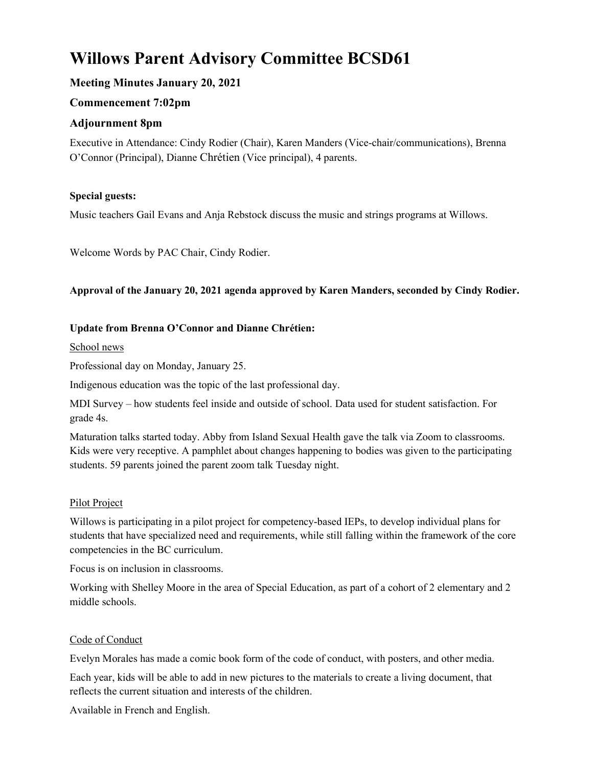# Willows Parent Advisory Committee BCSD61

## Meeting Minutes January 20, 2021

## Commencement 7:02pm

## Adjournment 8pm

Executive in Attendance: Cindy Rodier (Chair), Karen Manders (Vice-chair/communications), Brenna O'Connor (Principal), Dianne Chrétien (Vice principal), 4 parents.

## Special guests:

Music teachers Gail Evans and Anja Rebstock discuss the music and strings programs at Willows.

Welcome Words by PAC Chair, Cindy Rodier.

## Approval of the January 20, 2021 agenda approved by Karen Manders, seconded by Cindy Rodier.

#### Update from Brenna O'Connor and Dianne Chrétien:

School news

Professional day on Monday, January 25.

Indigenous education was the topic of the last professional day.

MDI Survey – how students feel inside and outside of school. Data used for student satisfaction. For grade 4s.

Maturation talks started today. Abby from Island Sexual Health gave the talk via Zoom to classrooms. Kids were very receptive. A pamphlet about changes happening to bodies was given to the participating students. 59 parents joined the parent zoom talk Tuesday night.

## Pilot Project

Willows is participating in a pilot project for competency-based IEPs, to develop individual plans for students that have specialized need and requirements, while still falling within the framework of the core competencies in the BC curriculum.

Focus is on inclusion in classrooms.

Working with Shelley Moore in the area of Special Education, as part of a cohort of 2 elementary and 2 middle schools.

#### Code of Conduct

Evelyn Morales has made a comic book form of the code of conduct, with posters, and other media.

Each year, kids will be able to add in new pictures to the materials to create a living document, that reflects the current situation and interests of the children.

Available in French and English.